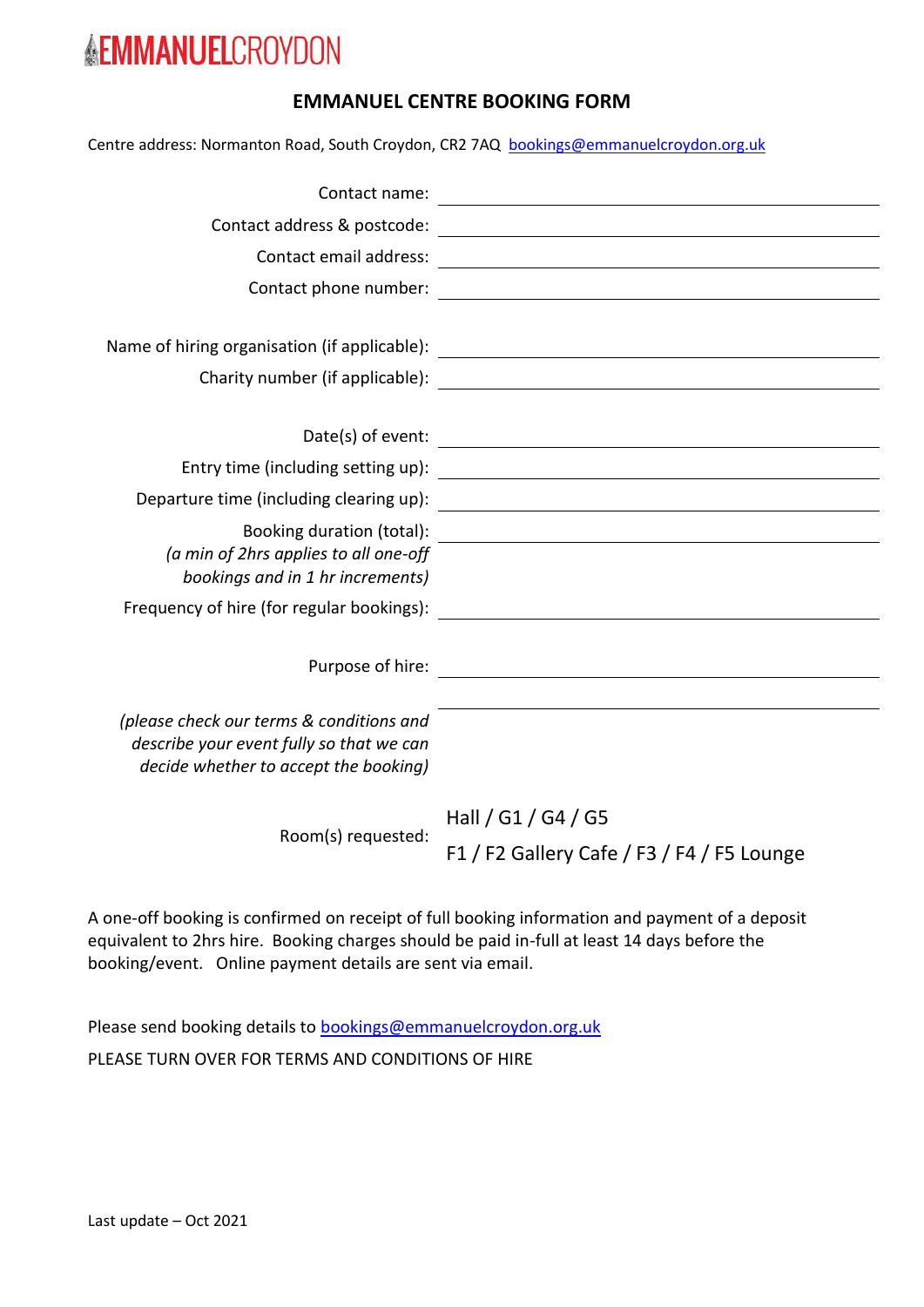## **EMMANUEL CENTRE BOOKING FORM**

Centre address: Normanton Road, South Croydon, CR2 7AQ [bookings@emmanuelcroydon.org.uk](mailto:bookings@emmanuelcroydon.org.uk)

|                                                                                   | Name of hiring organisation (if applicable): ___________________________________ |
|-----------------------------------------------------------------------------------|----------------------------------------------------------------------------------|
|                                                                                   |                                                                                  |
|                                                                                   |                                                                                  |
|                                                                                   |                                                                                  |
|                                                                                   |                                                                                  |
| (a min of 2hrs applies to all one-off<br>bookings and in 1 hr increments)         |                                                                                  |
|                                                                                   |                                                                                  |
|                                                                                   |                                                                                  |
|                                                                                   |                                                                                  |
|                                                                                   |                                                                                  |
| (please check our terms & conditions and                                          |                                                                                  |
| describe your event fully so that we can<br>decide whether to accept the booking) |                                                                                  |
|                                                                                   |                                                                                  |
| Room(s) requested:                                                                | Hall / G1 / G4 / G5                                                              |
|                                                                                   | F1 / F2 Gallery Cafe / F3 / F4 / F5 Lounge                                       |

A one-off booking is confirmed on receipt of full booking information and payment of a deposit equivalent to 2hrs hire. Booking charges should be paid in-full at least 14 days before the booking/event. Online payment details are sent via email.

Please send booking details to **bookings@emmanuelcroydon.org.uk** PLEASE TURN OVER FOR TERMS AND CONDITIONS OF HIRE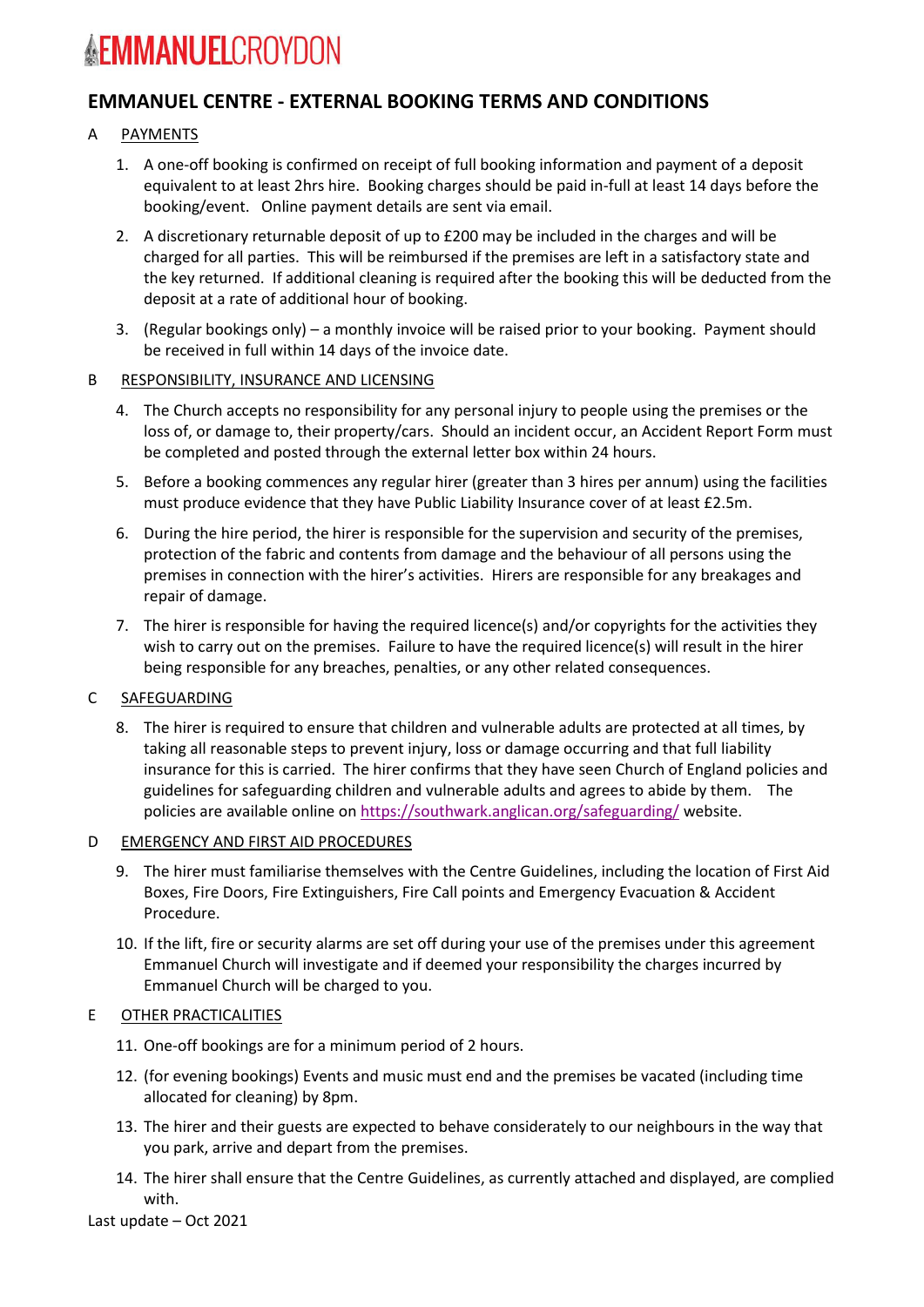## **EMMANUEL CENTRE - EXTERNAL BOOKING TERMS AND CONDITIONS**

## A PAYMENTS

- 1. A one-off booking is confirmed on receipt of full booking information and payment of a deposit equivalent to at least 2hrs hire. Booking charges should be paid in-full at least 14 days before the booking/event. Online payment details are sent via email.
- 2. A discretionary returnable deposit of up to £200 may be included in the charges and will be charged for all parties. This will be reimbursed if the premises are left in a satisfactory state and the key returned. If additional cleaning is required after the booking this will be deducted from the deposit at a rate of additional hour of booking.
- 3. (Regular bookings only) a monthly invoice will be raised prior to your booking. Payment should be received in full within 14 days of the invoice date.
- B RESPONSIBILITY, INSURANCE AND LICENSING
	- 4. The Church accepts no responsibility for any personal injury to people using the premises or the loss of, or damage to, their property/cars. Should an incident occur, an Accident Report Form must be completed and posted through the external letter box within 24 hours.
	- 5. Before a booking commences any regular hirer (greater than 3 hires per annum) using the facilities must produce evidence that they have Public Liability Insurance cover of at least £2.5m.
	- 6. During the hire period, the hirer is responsible for the supervision and security of the premises, protection of the fabric and contents from damage and the behaviour of all persons using the premises in connection with the hirer's activities. Hirers are responsible for any breakages and repair of damage.
	- 7. The hirer is responsible for having the required licence(s) and/or copyrights for the activities they wish to carry out on the premises. Failure to have the required licence(s) will result in the hirer being responsible for any breaches, penalties, or any other related consequences.

## C SAFEGUARDING

8. The hirer is required to ensure that children and vulnerable adults are protected at all times, by taking all reasonable steps to prevent injury, loss or damage occurring and that full liability insurance for this is carried. The hirer confirms that they have seen Church of England policies and guidelines for safeguarding children and vulnerable adults and agrees to abide by them. The policies are available online on<https://southwark.anglican.org/safeguarding/> website.

## D **EMERGENCY AND FIRST AID PROCEDURES**

- 9. The hirer must familiarise themselves with the Centre Guidelines, including the location of First Aid Boxes, Fire Doors, Fire Extinguishers, Fire Call points and Emergency Evacuation & Accident Procedure.
- 10. If the lift, fire or security alarms are set off during your use of the premises under this agreement Emmanuel Church will investigate and if deemed your responsibility the charges incurred by Emmanuel Church will be charged to you.

## E OTHER PRACTICALITIES

- 11. One-off bookings are for a minimum period of 2 hours.
- 12. (for evening bookings) Events and music must end and the premises be vacated (including time allocated for cleaning) by 8pm.
- 13. The hirer and their guests are expected to behave considerately to our neighbours in the way that you park, arrive and depart from the premises.
- 14. The hirer shall ensure that the Centre Guidelines, as currently attached and displayed, are complied with.

Last update – Oct 2021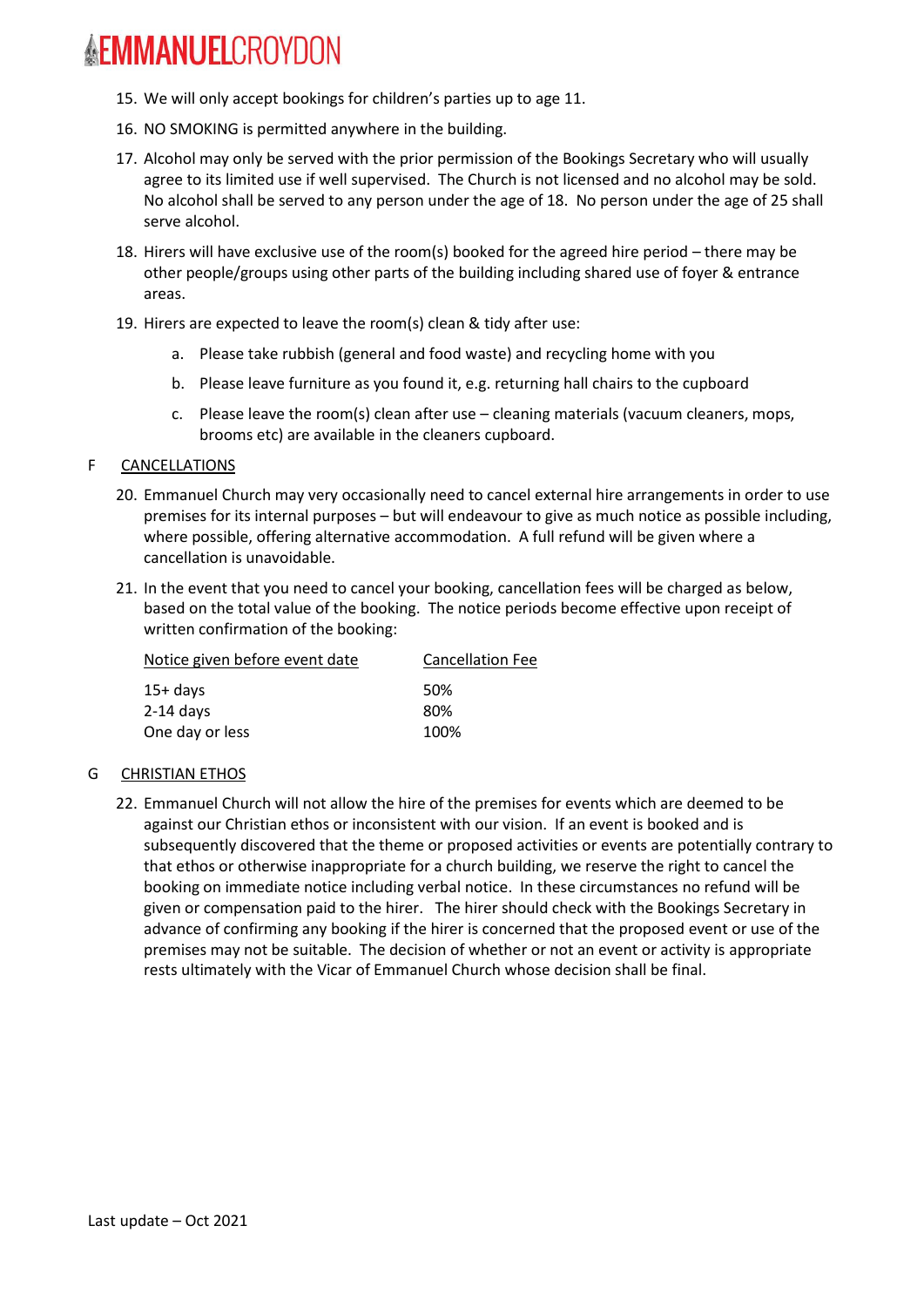- 15. We will only accept bookings for children's parties up to age 11.
- 16. NO SMOKING is permitted anywhere in the building.
- 17. Alcohol may only be served with the prior permission of the Bookings Secretary who will usually agree to its limited use if well supervised. The Church is not licensed and no alcohol may be sold. No alcohol shall be served to any person under the age of 18. No person under the age of 25 shall serve alcohol.
- 18. Hirers will have exclusive use of the room(s) booked for the agreed hire period there may be other people/groups using other parts of the building including shared use of foyer & entrance areas.
- 19. Hirers are expected to leave the room(s) clean & tidy after use:
	- a. Please take rubbish (general and food waste) and recycling home with you
	- b. Please leave furniture as you found it, e.g. returning hall chairs to the cupboard
	- c. Please leave the room(s) clean after use cleaning materials (vacuum cleaners, mops, brooms etc) are available in the cleaners cupboard.

#### F CANCELLATIONS

- 20. Emmanuel Church may very occasionally need to cancel external hire arrangements in order to use premises for its internal purposes – but will endeavour to give as much notice as possible including, where possible, offering alternative accommodation. A full refund will be given where a cancellation is unavoidable.
- 21. In the event that you need to cancel your booking, cancellation fees will be charged as below, based on the total value of the booking. The notice periods become effective upon receipt of written confirmation of the booking:

| Notice given before event date | <b>Cancellation Fee</b> |  |
|--------------------------------|-------------------------|--|
| $15+$ days                     | .50%                    |  |
| $2-14$ days                    | 80%                     |  |
| One day or less                | 100%                    |  |

## G CHRISTIAN ETHOS

22. Emmanuel Church will not allow the hire of the premises for events which are deemed to be against our Christian ethos or inconsistent with our vision. If an event is booked and is subsequently discovered that the theme or proposed activities or events are potentially contrary to that ethos or otherwise inappropriate for a church building, we reserve the right to cancel the booking on immediate notice including verbal notice. In these circumstances no refund will be given or compensation paid to the hirer. The hirer should check with the Bookings Secretary in advance of confirming any booking if the hirer is concerned that the proposed event or use of the premises may not be suitable. The decision of whether or not an event or activity is appropriate rests ultimately with the Vicar of Emmanuel Church whose decision shall be final.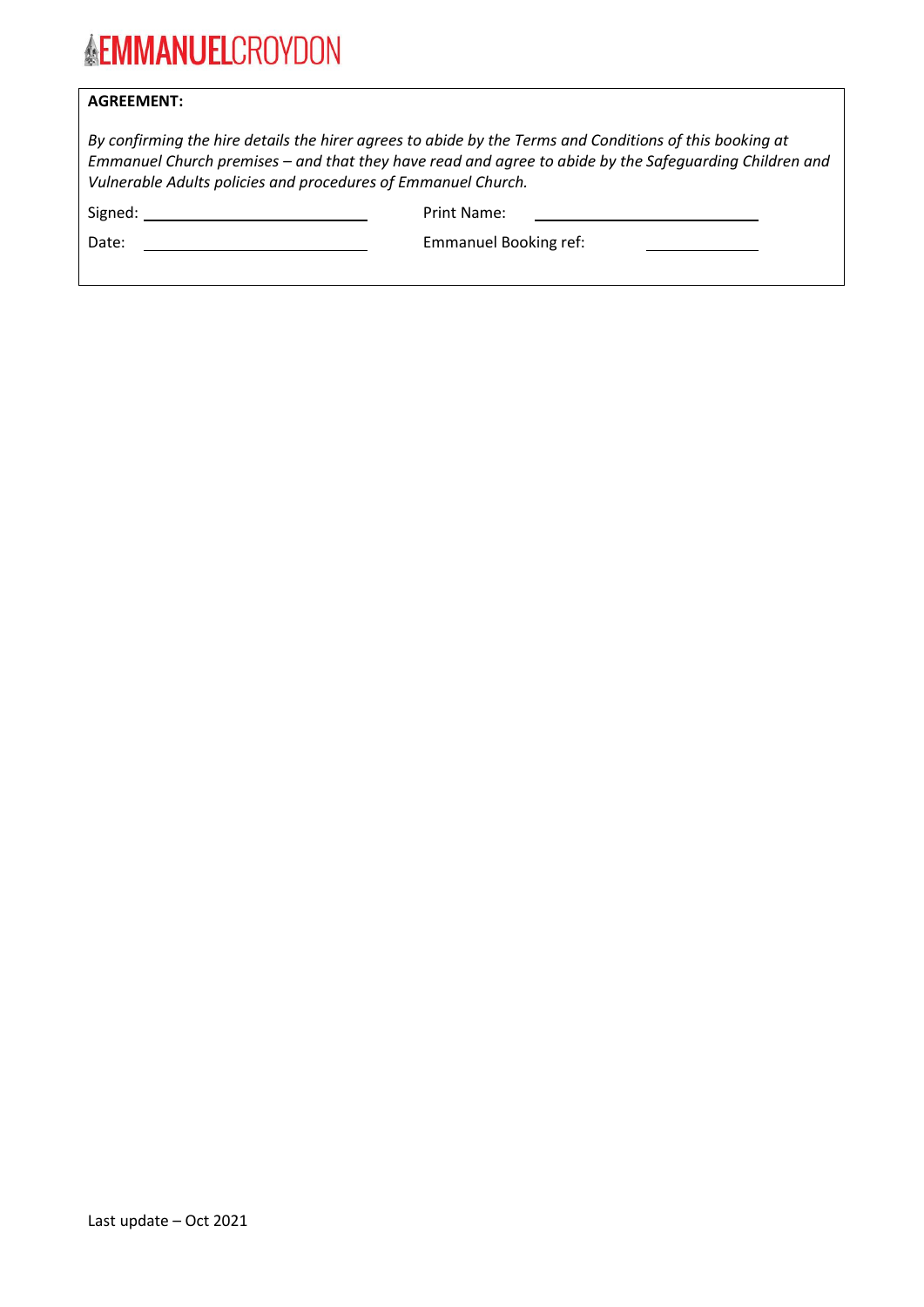## **AGREEMENT:**

|                                                               | By confirming the hire details the hirer agrees to abide by the Terms and Conditions of this booking at |  |
|---------------------------------------------------------------|---------------------------------------------------------------------------------------------------------|--|
|                                                               | Emmanuel Church premises – and that they have read and agree to abide by the Safequarding Children and  |  |
| Vulnerable Adults policies and procedures of Emmanuel Church. |                                                                                                         |  |
| Signed:                                                       | Print Name:                                                                                             |  |

| pigned |  |
|--------|--|
|        |  |

Date: Date: **Emmanuel Booking ref:** Emmanuel Booking ref: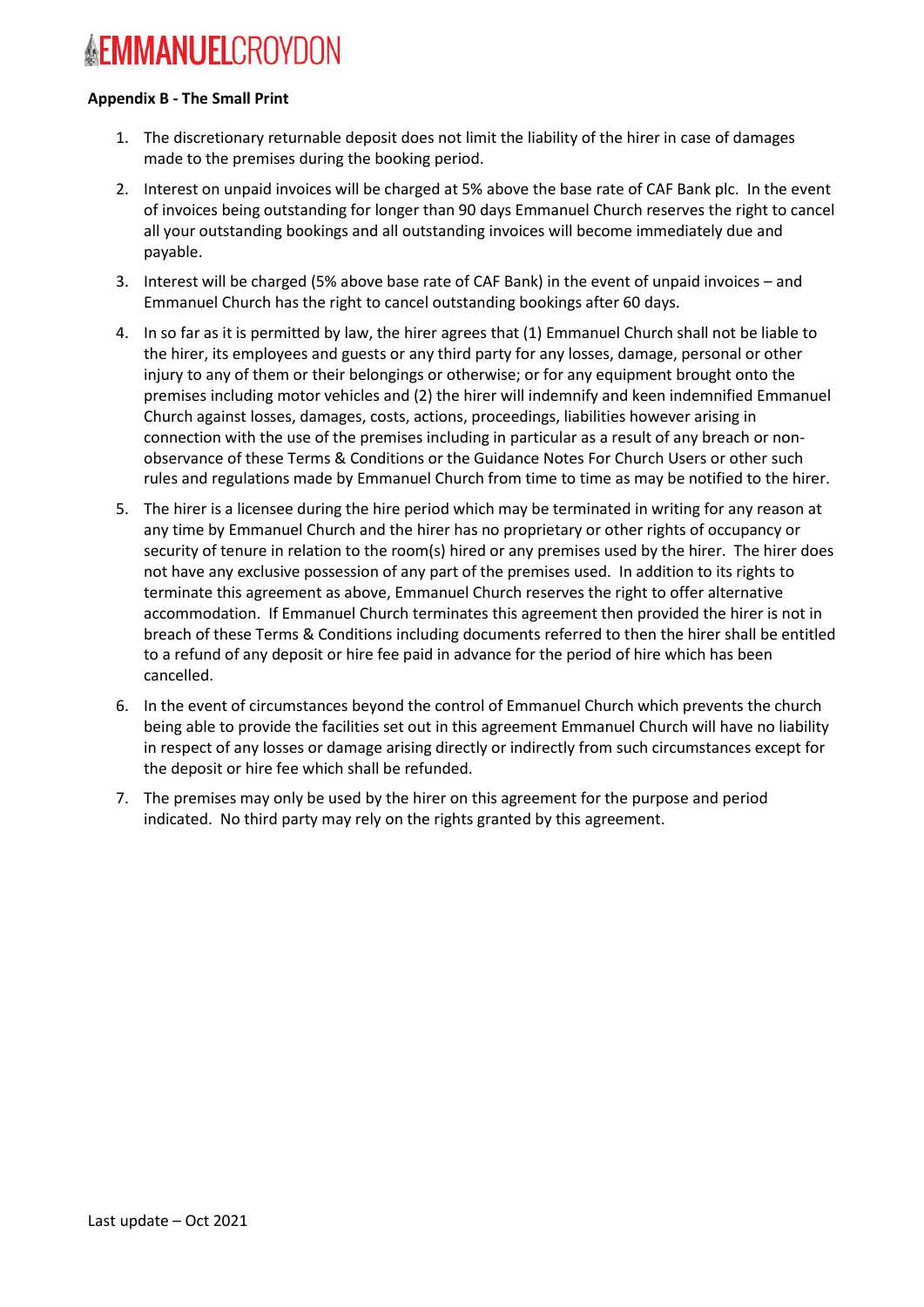#### **Appendix B - The Small Print**

- 1. The discretionary returnable deposit does not limit the liability of the hirer in case of damages made to the premises during the booking period.
- 2. Interest on unpaid invoices will be charged at 5% above the base rate of CAF Bank plc. In the event of invoices being outstanding for longer than 90 days Emmanuel Church reserves the right to cancel all your outstanding bookings and all outstanding invoices will become immediately due and payable.
- 3. Interest will be charged (5% above base rate of CAF Bank) in the event of unpaid invoices and Emmanuel Church has the right to cancel outstanding bookings after 60 days.
- 4. In so far as it is permitted by law, the hirer agrees that (1) Emmanuel Church shall not be liable to the hirer, its employees and guests or any third party for any losses, damage, personal or other injury to any of them or their belongings or otherwise; or for any equipment brought onto the premises including motor vehicles and (2) the hirer will indemnify and keen indemnified Emmanuel Church against losses, damages, costs, actions, proceedings, liabilities however arising in connection with the use of the premises including in particular as a result of any breach or nonobservance of these Terms & Conditions or the Guidance Notes For Church Users or other such rules and regulations made by Emmanuel Church from time to time as may be notified to the hirer.
- 5. The hirer is a licensee during the hire period which may be terminated in writing for any reason at any time by Emmanuel Church and the hirer has no proprietary or other rights of occupancy or security of tenure in relation to the room(s) hired or any premises used by the hirer. The hirer does not have any exclusive possession of any part of the premises used. In addition to its rights to terminate this agreement as above, Emmanuel Church reserves the right to offer alternative accommodation. If Emmanuel Church terminates this agreement then provided the hirer is not in breach of these Terms & Conditions including documents referred to then the hirer shall be entitled to a refund of any deposit or hire fee paid in advance for the period of hire which has been cancelled.
- 6. In the event of circumstances beyond the control of Emmanuel Church which prevents the church being able to provide the facilities set out in this agreement Emmanuel Church will have no liability in respect of any losses or damage arising directly or indirectly from such circumstances except for the deposit or hire fee which shall be refunded.
- 7. The premises may only be used by the hirer on this agreement for the purpose and period indicated. No third party may rely on the rights granted by this agreement.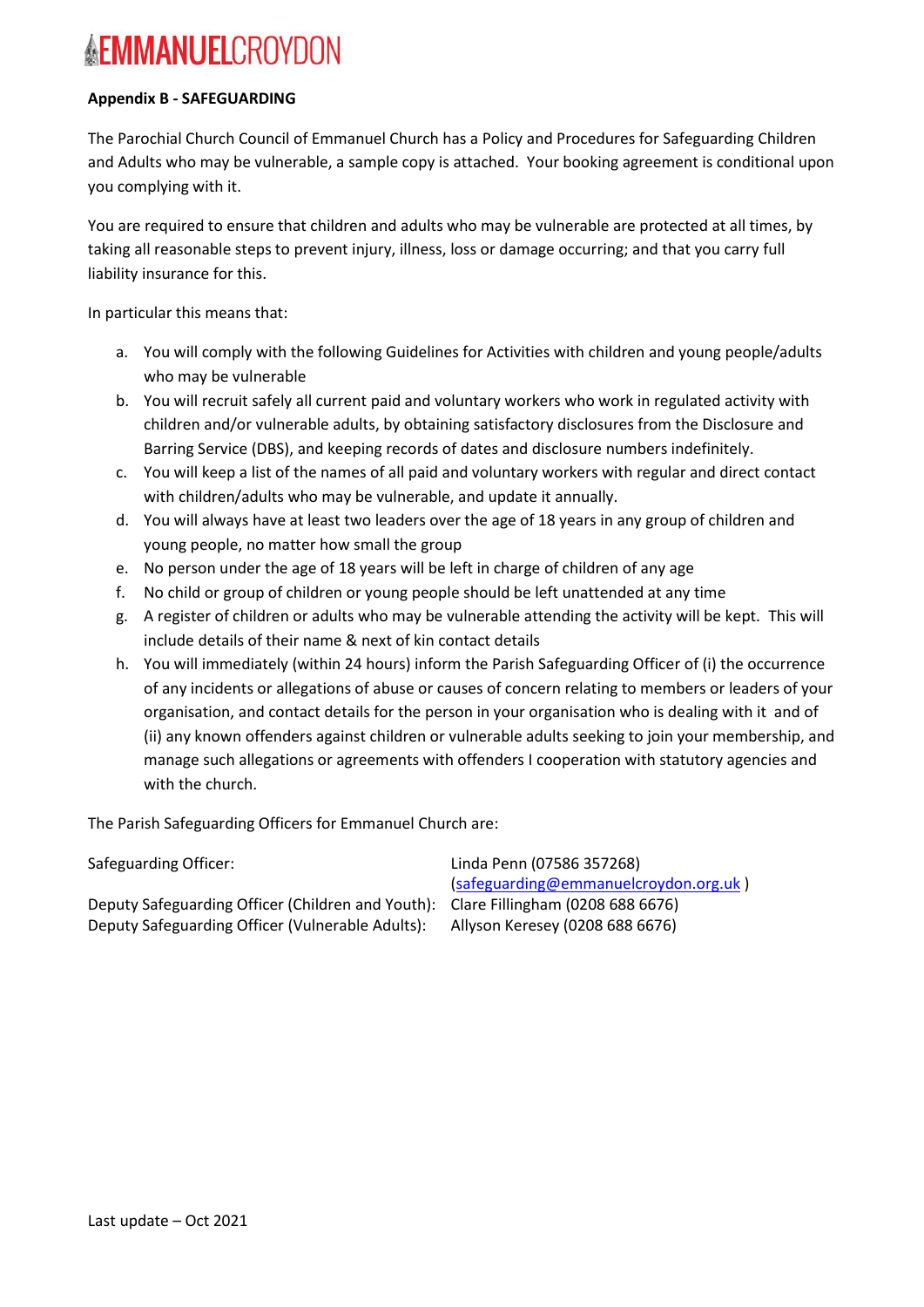## **Appendix B - SAFEGUARDING**

The Parochial Church Council of Emmanuel Church has a Policy and Procedures for Safeguarding Children and Adults who may be vulnerable, a sample copy is attached. Your booking agreement is conditional upon you complying with it.

You are required to ensure that children and adults who may be vulnerable are protected at all times, by taking all reasonable steps to prevent injury, illness, loss or damage occurring; and that you carry full liability insurance for this.

In particular this means that:

- a. You will comply with the following Guidelines for Activities with children and young people/adults who may be vulnerable
- b. You will recruit safely all current paid and voluntary workers who work in regulated activity with children and/or vulnerable adults, by obtaining satisfactory disclosures from the Disclosure and Barring Service (DBS), and keeping records of dates and disclosure numbers indefinitely.
- c. You will keep a list of the names of all paid and voluntary workers with regular and direct contact with children/adults who may be vulnerable, and update it annually.
- d. You will always have at least two leaders over the age of 18 years in any group of children and young people, no matter how small the group
- e. No person under the age of 18 years will be left in charge of children of any age
- f. No child or group of children or young people should be left unattended at any time
- g. A register of children or adults who may be vulnerable attending the activity will be kept. This will include details of their name & next of kin contact details
- h. You will immediately (within 24 hours) inform the Parish Safeguarding Officer of (i) the occurrence of any incidents or allegations of abuse or causes of concern relating to members or leaders of your organisation, and contact details for the person in your organisation who is dealing with it and of (ii) any known offenders against children or vulnerable adults seeking to join your membership, and manage such allegations or agreements with offenders I cooperation with statutory agencies and with the church.

The Parish Safeguarding Officers for Emmanuel Church are:

Safeguarding Officer: Linda Penn (07586 357268) [\(safeguarding@emmanuelcroydon.org.uk](mailto:safeguarding@emmanuelcroydon.org.uk) )

Deputy Safeguarding Officer (Children and Youth): Clare Fillingham (0208 688 6676) Deputy Safeguarding Officer (Vulnerable Adults): Allyson Keresey (0208 688 6676)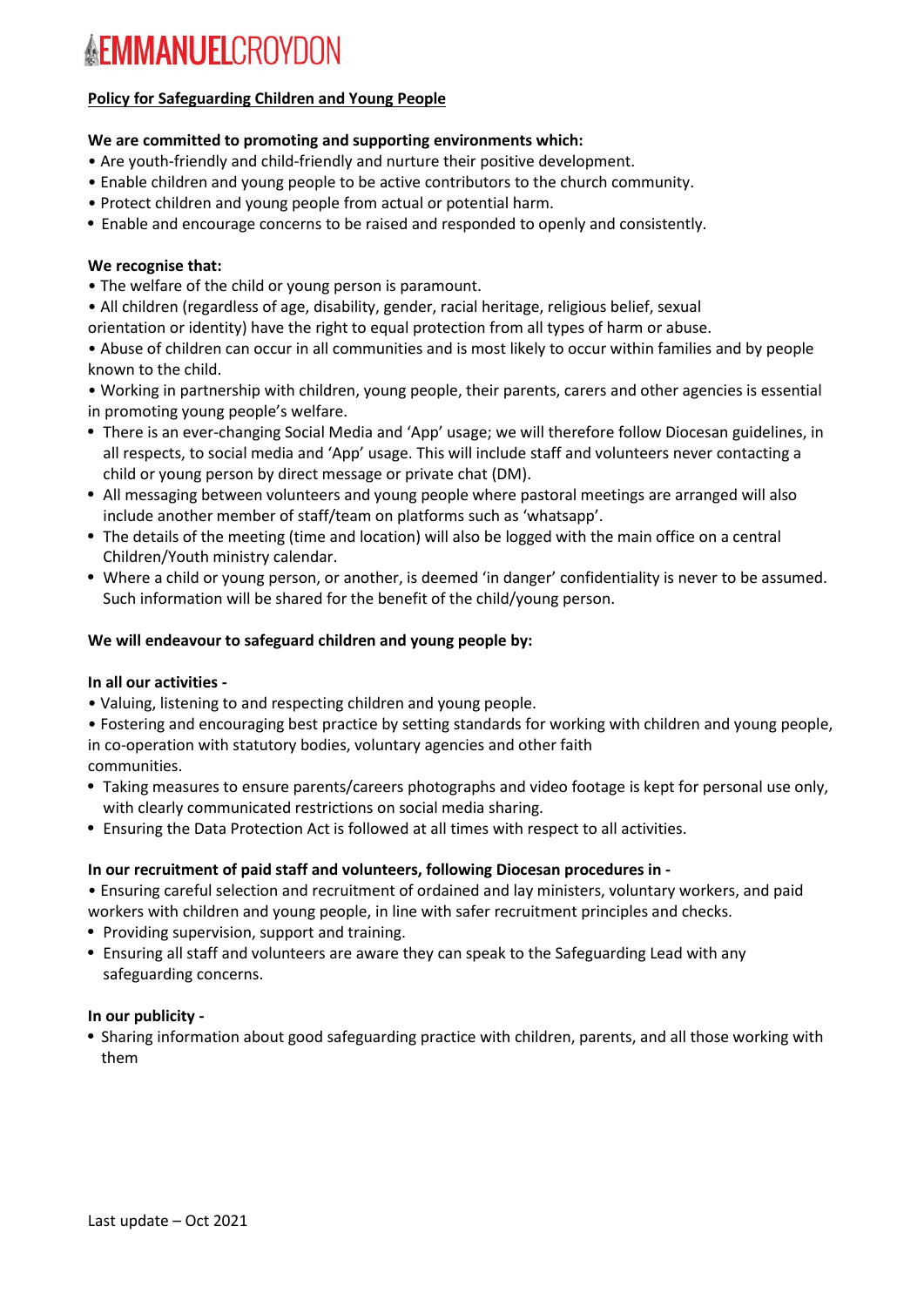## **Policy for Safeguarding Children and Young People**

### **We are committed to promoting and supporting environments which:**

- Are youth-friendly and child-friendly and nurture their positive development.
- Enable children and young people to be active contributors to the church community.
- Protect children and young people from actual or potential harm.
- Enable and encourage concerns to be raised and responded to openly and consistently.

#### **We recognise that:**

- The welfare of the child or young person is paramount.
- All children (regardless of age, disability, gender, racial heritage, religious belief, sexual
- orientation or identity) have the right to equal protection from all types of harm or abuse.

• Abuse of children can occur in all communities and is most likely to occur within families and by people known to the child.

• Working in partnership with children, young people, their parents, carers and other agencies is essential in promoting young people's welfare.

- There is an ever-changing Social Media and 'App' usage; we will therefore follow Diocesan guidelines, in all respects, to social media and 'App' usage. This will include staff and volunteers never contacting a child or young person by direct message or private chat (DM).
- All messaging between volunteers and young people where pastoral meetings are arranged will also include another member of staff/team on platforms such as 'whatsapp'.
- The details of the meeting (time and location) will also be logged with the main office on a central Children/Youth ministry calendar.
- Where a child or young person, or another, is deemed 'in danger' confidentiality is never to be assumed. Such information will be shared for the benefit of the child/young person.

#### **We will endeavour to safeguard children and young people by:**

#### **In all our activities -**

• Valuing, listening to and respecting children and young people.

• Fostering and encouraging best practice by setting standards for working with children and young people, in co-operation with statutory bodies, voluntary agencies and other faith

- communities.
- Taking measures to ensure parents/careers photographs and video footage is kept for personal use only, with clearly communicated restrictions on social media sharing.
- Ensuring the Data Protection Act is followed at all times with respect to all activities.

#### **In our recruitment of paid staff and volunteers, following Diocesan procedures in -**

• Ensuring careful selection and recruitment of ordained and lay ministers, voluntary workers, and paid workers with children and young people, in line with safer recruitment principles and checks.

- Providing supervision, support and training.
- Ensuring all staff and volunteers are aware they can speak to the Safeguarding Lead with any safeguarding concerns.

#### **In our publicity -**

• Sharing information about good safeguarding practice with children, parents, and all those working with them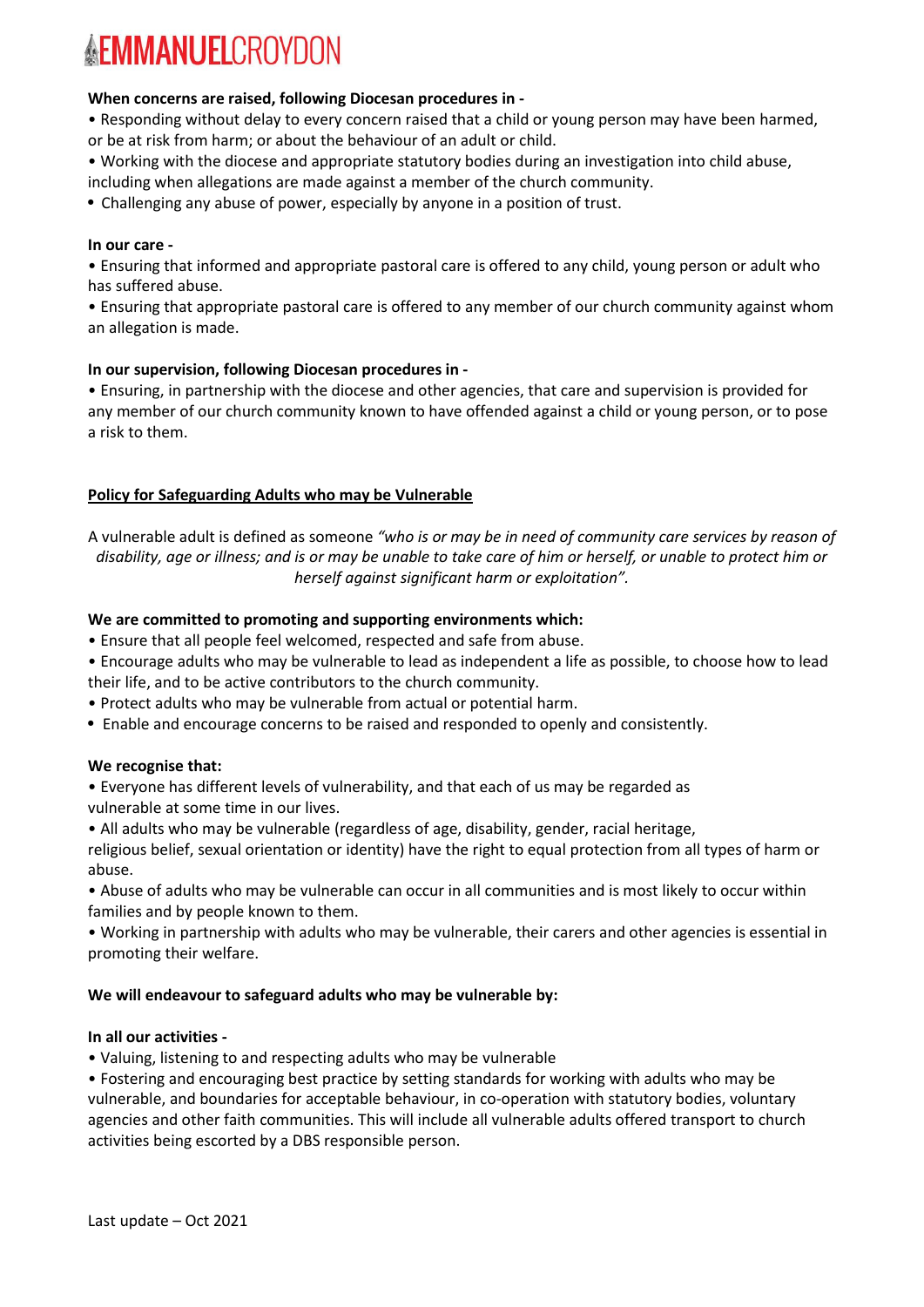#### **When concerns are raised, following Diocesan procedures in -**

• Responding without delay to every concern raised that a child or young person may have been harmed, or be at risk from harm; or about the behaviour of an adult or child.

• Working with the diocese and appropriate statutory bodies during an investigation into child abuse, including when allegations are made against a member of the church community.

• Challenging any abuse of power, especially by anyone in a position of trust.

#### **In our care -**

• Ensuring that informed and appropriate pastoral care is offered to any child, young person or adult who has suffered abuse.

• Ensuring that appropriate pastoral care is offered to any member of our church community against whom an allegation is made.

#### **In our supervision, following Diocesan procedures in -**

• Ensuring, in partnership with the diocese and other agencies, that care and supervision is provided for any member of our church community known to have offended against a child or young person, or to pose a risk to them.

## **Policy for Safeguarding Adults who may be Vulnerable**

A vulnerable adult is defined as someone *"who is or may be in need of community care services by reason of* disability, age or illness; and is or may be unable to take care of him or herself, or unable to protect him or *herself against significant harm or exploitation".*

## **We are committed to promoting and supporting environments which:**

• Ensure that all people feel welcomed, respected and safe from abuse.

- Encourage adults who may be vulnerable to lead as independent a life as possible, to choose how to lead their life, and to be active contributors to the church community.
- Protect adults who may be vulnerable from actual or potential harm.
- Enable and encourage concerns to be raised and responded to openly and consistently.

#### **We recognise that:**

• Everyone has different levels of vulnerability, and that each of us may be regarded as vulnerable at some time in our lives.

• All adults who may be vulnerable (regardless of age, disability, gender, racial heritage,

religious belief, sexual orientation or identity) have the right to equal protection from all types of harm or abuse.

• Abuse of adults who may be vulnerable can occur in all communities and is most likely to occur within families and by people known to them.

• Working in partnership with adults who may be vulnerable, their carers and other agencies is essential in promoting their welfare.

## **We will endeavour to safeguard adults who may be vulnerable by:**

#### **In all our activities -**

• Valuing, listening to and respecting adults who may be vulnerable

• Fostering and encouraging best practice by setting standards for working with adults who may be vulnerable, and boundaries for acceptable behaviour, in co-operation with statutory bodies, voluntary agencies and other faith communities. This will include all vulnerable adults offered transport to church activities being escorted by a DBS responsible person.